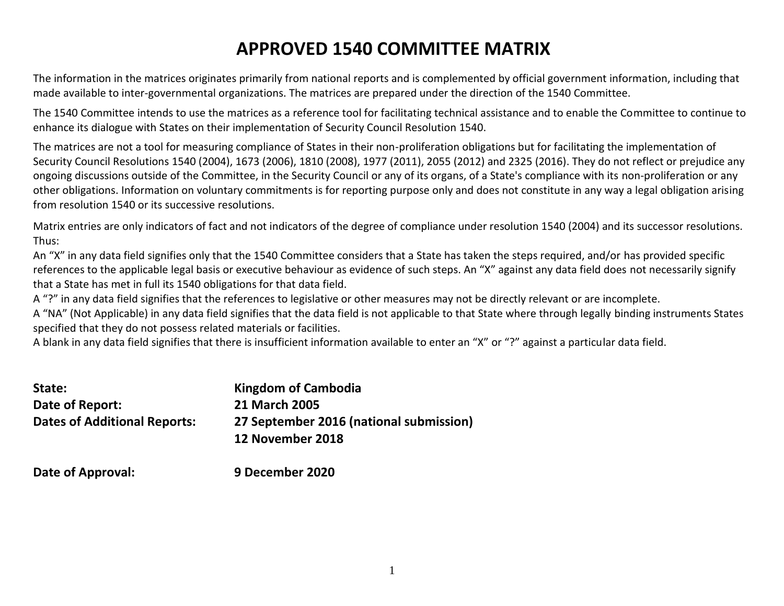# **APPROVED 1540 COMMITTEE MATRIX**

The information in the matrices originates primarily from national reports and is complemented by official government information, including that made available to inter-governmental organizations. The matrices are prepared under the direction of the 1540 Committee.

The 1540 Committee intends to use the matrices as a reference tool for facilitating technical assistance and to enable the Committee to continue to enhance its dialogue with States on their implementation of Security Council Resolution 1540.

The matrices are not a tool for measuring compliance of States in their non-proliferation obligations but for facilitating the implementation of Security Council Resolutions 1540 (2004), 1673 (2006), 1810 (2008), 1977 (2011), 2055 (2012) and 2325 (2016). They do not reflect or prejudice any ongoing discussions outside of the Committee, in the Security Council or any of its organs, of a State's compliance with its non-proliferation or any other obligations. Information on voluntary commitments is for reporting purpose only and does not constitute in any way a legal obligation arising from resolution 1540 or its successive resolutions.

Matrix entries are only indicators of fact and not indicators of the degree of compliance under resolution 1540 (2004) and its successor resolutions. Thus:

An "X" in any data field signifies only that the 1540 Committee considers that a State has taken the steps required, and/or has provided specific references to the applicable legal basis or executive behaviour as evidence of such steps. An "X" against any data field does not necessarily signify that a State has met in full its 1540 obligations for that data field.

A "?" in any data field signifies that the references to legislative or other measures may not be directly relevant or are incomplete.

A "NA" (Not Applicable) in any data field signifies that the data field is not applicable to that State where through legally binding instruments States specified that they do not possess related materials or facilities.

A blank in any data field signifies that there is insufficient information available to enter an "X" or "?" against a particular data field.

| State:                              | Kingdom of Cambodia                     |
|-------------------------------------|-----------------------------------------|
| Date of Report:                     | 21 March 2005                           |
| <b>Dates of Additional Reports:</b> | 27 September 2016 (national submission) |
|                                     | 12 November 2018                        |
|                                     |                                         |

**Date of Approval: 9 December 2020**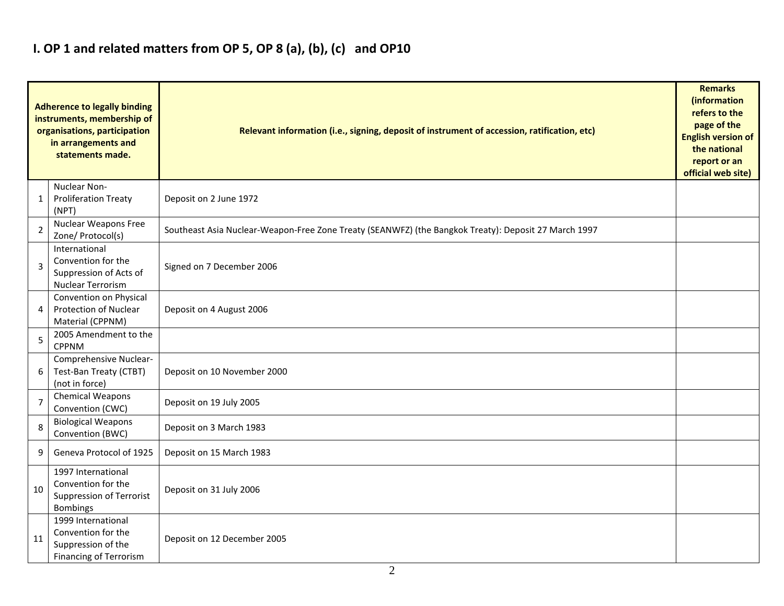## **I. OP 1 and related matters from OP 5, OP 8 (a), (b), (c) and OP10**

|                | <b>Adherence to legally binding</b><br>instruments, membership of<br>organisations, participation<br>in arrangements and<br>statements made. | Relevant information (i.e., signing, deposit of instrument of accession, ratification, etc)          | <b>Remarks</b><br>(information<br>refers to the<br>page of the<br><b>English version of</b><br>the national<br>report or an<br>official web site) |
|----------------|----------------------------------------------------------------------------------------------------------------------------------------------|------------------------------------------------------------------------------------------------------|---------------------------------------------------------------------------------------------------------------------------------------------------|
| 1              | Nuclear Non-<br><b>Proliferation Treaty</b><br>(NPT)                                                                                         | Deposit on 2 June 1972                                                                               |                                                                                                                                                   |
| $\overline{2}$ | Nuclear Weapons Free<br>Zone/ Protocol(s)                                                                                                    | Southeast Asia Nuclear-Weapon-Free Zone Treaty (SEANWFZ) (the Bangkok Treaty): Deposit 27 March 1997 |                                                                                                                                                   |
| $\overline{3}$ | International<br>Convention for the<br>Suppression of Acts of<br><b>Nuclear Terrorism</b>                                                    | Signed on 7 December 2006                                                                            |                                                                                                                                                   |
| $\overline{4}$ | Convention on Physical<br>Protection of Nuclear<br>Material (CPPNM)                                                                          | Deposit on 4 August 2006                                                                             |                                                                                                                                                   |
| 5              | 2005 Amendment to the<br><b>CPPNM</b>                                                                                                        |                                                                                                      |                                                                                                                                                   |
| 6              | Comprehensive Nuclear-<br>Test-Ban Treaty (CTBT)<br>(not in force)                                                                           | Deposit on 10 November 2000                                                                          |                                                                                                                                                   |
| $\overline{7}$ | <b>Chemical Weapons</b><br>Convention (CWC)                                                                                                  | Deposit on 19 July 2005                                                                              |                                                                                                                                                   |
| 8              | <b>Biological Weapons</b><br>Convention (BWC)                                                                                                | Deposit on 3 March 1983                                                                              |                                                                                                                                                   |
| 9              | Geneva Protocol of 1925                                                                                                                      | Deposit on 15 March 1983                                                                             |                                                                                                                                                   |
| 10             | 1997 International<br>Convention for the<br><b>Suppression of Terrorist</b><br><b>Bombings</b>                                               | Deposit on 31 July 2006                                                                              |                                                                                                                                                   |
| 11             | 1999 International<br>Convention for the<br>Suppression of the<br><b>Financing of Terrorism</b>                                              | Deposit on 12 December 2005                                                                          |                                                                                                                                                   |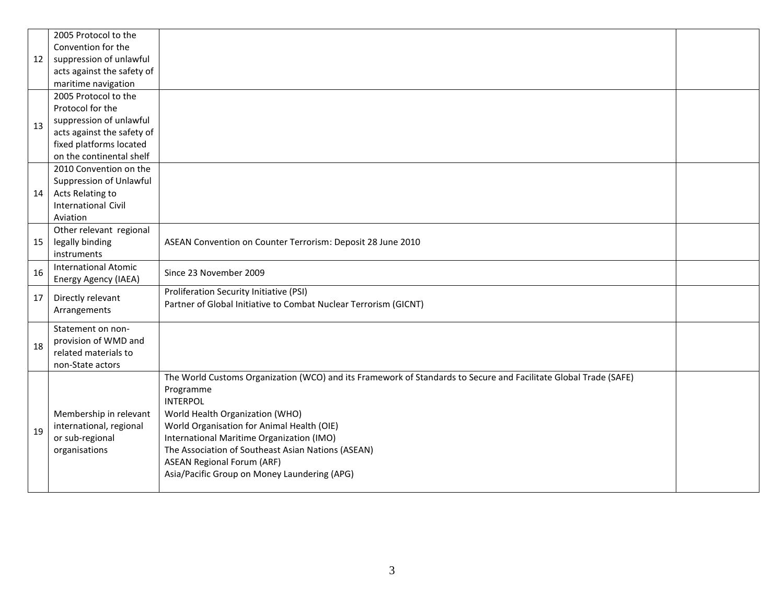|    | 2005 Protocol to the        |                                                                                                                  |  |
|----|-----------------------------|------------------------------------------------------------------------------------------------------------------|--|
|    | Convention for the          |                                                                                                                  |  |
| 12 | suppression of unlawful     |                                                                                                                  |  |
|    | acts against the safety of  |                                                                                                                  |  |
|    | maritime navigation         |                                                                                                                  |  |
|    | 2005 Protocol to the        |                                                                                                                  |  |
|    | Protocol for the            |                                                                                                                  |  |
| 13 | suppression of unlawful     |                                                                                                                  |  |
|    | acts against the safety of  |                                                                                                                  |  |
|    | fixed platforms located     |                                                                                                                  |  |
|    | on the continental shelf    |                                                                                                                  |  |
|    | 2010 Convention on the      |                                                                                                                  |  |
|    | Suppression of Unlawful     |                                                                                                                  |  |
| 14 | Acts Relating to            |                                                                                                                  |  |
|    | <b>International Civil</b>  |                                                                                                                  |  |
|    | Aviation                    |                                                                                                                  |  |
|    | Other relevant regional     |                                                                                                                  |  |
| 15 | legally binding             | ASEAN Convention on Counter Terrorism: Deposit 28 June 2010                                                      |  |
|    | instruments                 |                                                                                                                  |  |
| 16 | <b>International Atomic</b> | Since 23 November 2009                                                                                           |  |
|    | Energy Agency (IAEA)        |                                                                                                                  |  |
| 17 | Directly relevant           | Proliferation Security Initiative (PSI)                                                                          |  |
|    | Arrangements                | Partner of Global Initiative to Combat Nuclear Terrorism (GICNT)                                                 |  |
|    |                             |                                                                                                                  |  |
|    | Statement on non-           |                                                                                                                  |  |
| 18 | provision of WMD and        |                                                                                                                  |  |
|    | related materials to        |                                                                                                                  |  |
|    | non-State actors            |                                                                                                                  |  |
|    |                             | The World Customs Organization (WCO) and its Framework of Standards to Secure and Facilitate Global Trade (SAFE) |  |
|    |                             | Programme                                                                                                        |  |
|    |                             | <b>INTERPOL</b>                                                                                                  |  |
|    | Membership in relevant      | World Health Organization (WHO)                                                                                  |  |
| 19 | international, regional     | World Organisation for Animal Health (OIE)                                                                       |  |
|    | or sub-regional             | International Maritime Organization (IMO)                                                                        |  |
|    | organisations               | The Association of Southeast Asian Nations (ASEAN)                                                               |  |
|    |                             | <b>ASEAN Regional Forum (ARF)</b>                                                                                |  |
|    |                             | Asia/Pacific Group on Money Laundering (APG)                                                                     |  |
|    |                             |                                                                                                                  |  |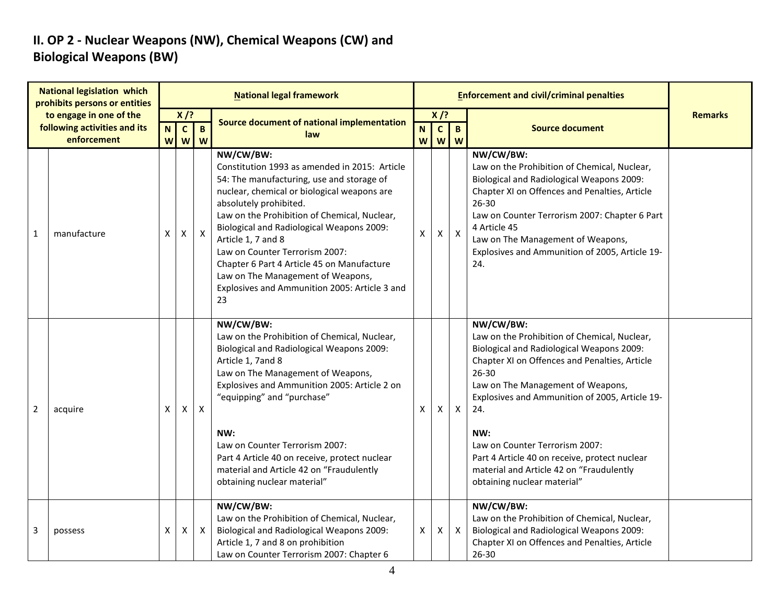### **II. OP 2 - Nuclear Weapons (NW), Chemical Weapons (CW) and Biological Weapons (BW)**

| <b>National legislation which</b><br>prohibits persons or entities |                                                         |   |                                                   |              | <b>National legal framework</b>                                                                                                                                                                                                                                                                                                                                                                                                                                                 |                |                                        |                           | <b>Enforcement and civil/criminal penalties</b>                                                                                                                                                                                                                                                                                                                                                                                     |                |
|--------------------------------------------------------------------|---------------------------------------------------------|---|---------------------------------------------------|--------------|---------------------------------------------------------------------------------------------------------------------------------------------------------------------------------------------------------------------------------------------------------------------------------------------------------------------------------------------------------------------------------------------------------------------------------------------------------------------------------|----------------|----------------------------------------|---------------------------|-------------------------------------------------------------------------------------------------------------------------------------------------------------------------------------------------------------------------------------------------------------------------------------------------------------------------------------------------------------------------------------------------------------------------------------|----------------|
|                                                                    | to engage in one of the<br>following activities and its |   | $X$ /?<br>$\mathbf c$<br>$\mathbf{B}$<br><b>N</b> |              | Source document of national implementation                                                                                                                                                                                                                                                                                                                                                                                                                                      | N.             | $X$ /?<br>$\mathbf{C}$<br>$\mathbf{B}$ |                           | <b>Source document</b>                                                                                                                                                                                                                                                                                                                                                                                                              | <b>Remarks</b> |
| enforcement                                                        |                                                         |   | <b>w</b> w                                        | W            | law                                                                                                                                                                                                                                                                                                                                                                                                                                                                             | w <sub>l</sub> |                                        | $W$ $W$                   |                                                                                                                                                                                                                                                                                                                                                                                                                                     |                |
| $\mathbf{1}$                                                       | manufacture                                             | X | X                                                 | X            | NW/CW/BW:<br>Constitution 1993 as amended in 2015: Article<br>54: The manufacturing, use and storage of<br>nuclear, chemical or biological weapons are<br>absolutely prohibited.<br>Law on the Prohibition of Chemical, Nuclear,<br>Biological and Radiological Weapons 2009:<br>Article 1, 7 and 8<br>Law on Counter Terrorism 2007:<br>Chapter 6 Part 4 Article 45 on Manufacture<br>Law on The Management of Weapons,<br>Explosives and Ammunition 2005: Article 3 and<br>23 | X              | Χ                                      | $\mathsf{X}$              | NW/CW/BW:<br>Law on the Prohibition of Chemical, Nuclear,<br>Biological and Radiological Weapons 2009:<br>Chapter XI on Offences and Penalties, Article<br>$26 - 30$<br>Law on Counter Terrorism 2007: Chapter 6 Part<br>4 Article 45<br>Law on The Management of Weapons,<br>Explosives and Ammunition of 2005, Article 19-<br>24.                                                                                                 |                |
| $\overline{2}$                                                     | acquire                                                 | X | X.                                                | $\mathsf{X}$ | NW/CW/BW:<br>Law on the Prohibition of Chemical, Nuclear,<br>Biological and Radiological Weapons 2009:<br>Article 1, 7and 8<br>Law on The Management of Weapons,<br>Explosives and Ammunition 2005: Article 2 on<br>"equipping" and "purchase"<br>NW:<br>Law on Counter Terrorism 2007:<br>Part 4 Article 40 on receive, protect nuclear<br>material and Article 42 on "Fraudulently<br>obtaining nuclear material"                                                             | X              | X                                      | $\boldsymbol{\mathsf{X}}$ | NW/CW/BW:<br>Law on the Prohibition of Chemical, Nuclear,<br>Biological and Radiological Weapons 2009:<br>Chapter XI on Offences and Penalties, Article<br>26-30<br>Law on The Management of Weapons,<br>Explosives and Ammunition of 2005, Article 19-<br>24.<br>NW:<br>Law on Counter Terrorism 2007:<br>Part 4 Article 40 on receive, protect nuclear<br>material and Article 42 on "Fraudulently<br>obtaining nuclear material" |                |
| 3                                                                  | possess                                                 | X | X                                                 | $\mathsf{X}$ | NW/CW/BW:<br>Law on the Prohibition of Chemical, Nuclear,<br>Biological and Radiological Weapons 2009:<br>Article 1, 7 and 8 on prohibition<br>Law on Counter Terrorism 2007: Chapter 6                                                                                                                                                                                                                                                                                         | X              | X                                      | X                         | NW/CW/BW:<br>Law on the Prohibition of Chemical, Nuclear,<br>Biological and Radiological Weapons 2009:<br>Chapter XI on Offences and Penalties, Article<br>$26 - 30$                                                                                                                                                                                                                                                                |                |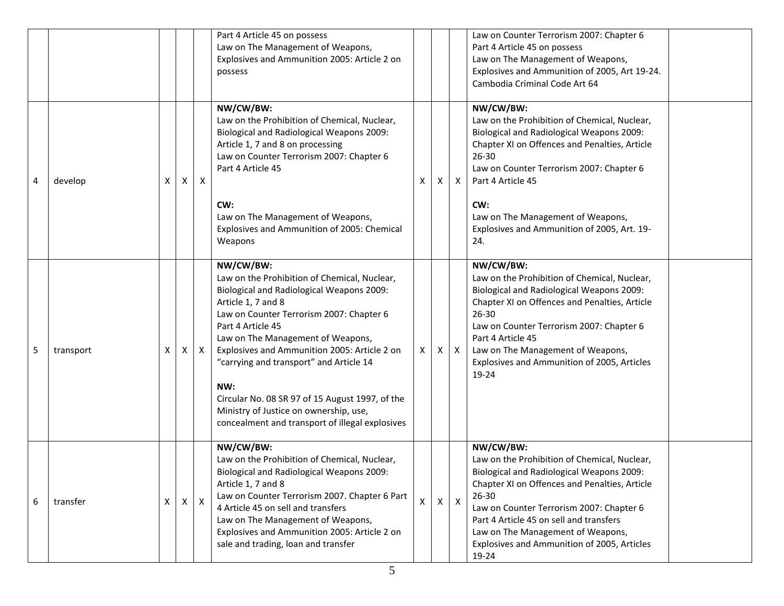|   |           |   |   |              | Part 4 Article 45 on possess<br>Law on The Management of Weapons,<br>Explosives and Ammunition 2005: Article 2 on<br>possess                                                                                                                                                                                                                                                                                                                                                         |   |    |              | Law on Counter Terrorism 2007: Chapter 6<br>Part 4 Article 45 on possess<br>Law on The Management of Weapons,<br>Explosives and Ammunition of 2005, Art 19-24.<br>Cambodia Criminal Code Art 64                                                                                                                                                          |
|---|-----------|---|---|--------------|--------------------------------------------------------------------------------------------------------------------------------------------------------------------------------------------------------------------------------------------------------------------------------------------------------------------------------------------------------------------------------------------------------------------------------------------------------------------------------------|---|----|--------------|----------------------------------------------------------------------------------------------------------------------------------------------------------------------------------------------------------------------------------------------------------------------------------------------------------------------------------------------------------|
| 4 | develop   | X | X | $\mathsf{X}$ | NW/CW/BW:<br>Law on the Prohibition of Chemical, Nuclear,<br>Biological and Radiological Weapons 2009:<br>Article 1, 7 and 8 on processing<br>Law on Counter Terrorism 2007: Chapter 6<br>Part 4 Article 45                                                                                                                                                                                                                                                                          | x | X. | X            | NW/CW/BW:<br>Law on the Prohibition of Chemical, Nuclear,<br>Biological and Radiological Weapons 2009:<br>Chapter XI on Offences and Penalties, Article<br>$26 - 30$<br>Law on Counter Terrorism 2007: Chapter 6<br>Part 4 Article 45                                                                                                                    |
|   |           |   |   |              | CW:<br>Law on The Management of Weapons,<br>Explosives and Ammunition of 2005: Chemical<br>Weapons                                                                                                                                                                                                                                                                                                                                                                                   |   |    |              | CW:<br>Law on The Management of Weapons,<br>Explosives and Ammunition of 2005, Art. 19-<br>24.                                                                                                                                                                                                                                                           |
| 5 | transport | X | X | X            | NW/CW/BW:<br>Law on the Prohibition of Chemical, Nuclear,<br>Biological and Radiological Weapons 2009:<br>Article 1, 7 and 8<br>Law on Counter Terrorism 2007: Chapter 6<br>Part 4 Article 45<br>Law on The Management of Weapons,<br>Explosives and Ammunition 2005: Article 2 on<br>"carrying and transport" and Article 14<br>NW:<br>Circular No. 08 SR 97 of 15 August 1997, of the<br>Ministry of Justice on ownership, use,<br>concealment and transport of illegal explosives | X | X. | $\mathsf{X}$ | NW/CW/BW:<br>Law on the Prohibition of Chemical, Nuclear,<br>Biological and Radiological Weapons 2009:<br>Chapter XI on Offences and Penalties, Article<br>$26 - 30$<br>Law on Counter Terrorism 2007: Chapter 6<br>Part 4 Article 45<br>Law on The Management of Weapons,<br>Explosives and Ammunition of 2005, Articles<br>19-24                       |
| 6 | transfer  | X | X | $\mathsf{X}$ | NW/CW/BW:<br>Law on the Prohibition of Chemical, Nuclear,<br>Biological and Radiological Weapons 2009:<br>Article 1, 7 and 8<br>Law on Counter Terrorism 2007. Chapter 6 Part<br>4 Article 45 on sell and transfers<br>Law on The Management of Weapons,<br>Explosives and Ammunition 2005: Article 2 on<br>sale and trading, loan and transfer                                                                                                                                      | X | X  | $\mathsf{X}$ | NW/CW/BW:<br>Law on the Prohibition of Chemical, Nuclear,<br>Biological and Radiological Weapons 2009:<br>Chapter XI on Offences and Penalties, Article<br>$26 - 30$<br>Law on Counter Terrorism 2007: Chapter 6<br>Part 4 Article 45 on sell and transfers<br>Law on The Management of Weapons,<br>Explosives and Ammunition of 2005, Articles<br>19-24 |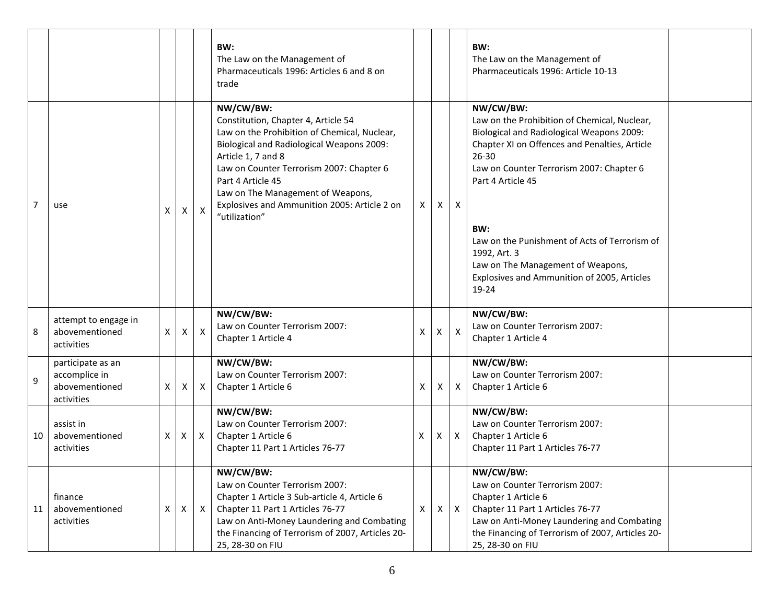|                |                                                                    |              |              |              | BW:<br>The Law on the Management of<br>Pharmaceuticals 1996: Articles 6 and 8 on<br>trade                                                                                                                                                                                                                                                  |   |              |                           | BW:<br>The Law on the Management of<br>Pharmaceuticals 1996: Article 10-13                                                                                                                                                                                                                                                                                                                                 |  |
|----------------|--------------------------------------------------------------------|--------------|--------------|--------------|--------------------------------------------------------------------------------------------------------------------------------------------------------------------------------------------------------------------------------------------------------------------------------------------------------------------------------------------|---|--------------|---------------------------|------------------------------------------------------------------------------------------------------------------------------------------------------------------------------------------------------------------------------------------------------------------------------------------------------------------------------------------------------------------------------------------------------------|--|
| $\overline{7}$ | use                                                                | X            | X            | $\mathsf{X}$ | NW/CW/BW:<br>Constitution, Chapter 4, Article 54<br>Law on the Prohibition of Chemical, Nuclear,<br>Biological and Radiological Weapons 2009:<br>Article 1, 7 and 8<br>Law on Counter Terrorism 2007: Chapter 6<br>Part 4 Article 45<br>Law on The Management of Weapons,<br>Explosives and Ammunition 2005: Article 2 on<br>"utilization" | X | Χ            | $\mathsf{X}$              | NW/CW/BW:<br>Law on the Prohibition of Chemical, Nuclear,<br>Biological and Radiological Weapons 2009:<br>Chapter XI on Offences and Penalties, Article<br>$26 - 30$<br>Law on Counter Terrorism 2007: Chapter 6<br>Part 4 Article 45<br>BW:<br>Law on the Punishment of Acts of Terrorism of<br>1992, Art. 3<br>Law on The Management of Weapons,<br>Explosives and Ammunition of 2005, Articles<br>19-24 |  |
| 8              | attempt to engage in<br>abovementioned<br>activities               | $\mathsf{X}$ | X            | $\mathsf{X}$ | NW/CW/BW:<br>Law on Counter Terrorism 2007:<br>Chapter 1 Article 4                                                                                                                                                                                                                                                                         | Χ | $\mathsf{X}$ | $\boldsymbol{\mathsf{X}}$ | NW/CW/BW:<br>Law on Counter Terrorism 2007:<br>Chapter 1 Article 4                                                                                                                                                                                                                                                                                                                                         |  |
| 9              | participate as an<br>accomplice in<br>abovementioned<br>activities | $\times$     | X            | $\mathsf{X}$ | NW/CW/BW:<br>Law on Counter Terrorism 2007:<br>Chapter 1 Article 6                                                                                                                                                                                                                                                                         | X | Χ            | X                         | NW/CW/BW:<br>Law on Counter Terrorism 2007:<br>Chapter 1 Article 6                                                                                                                                                                                                                                                                                                                                         |  |
| 10             | assist in<br>abovementioned<br>activities                          | X            | $\mathsf{X}$ | $\mathsf{X}$ | NW/CW/BW:<br>Law on Counter Terrorism 2007:<br>Chapter 1 Article 6<br>Chapter 11 Part 1 Articles 76-77                                                                                                                                                                                                                                     | X | X            | $\mathsf{X}$              | NW/CW/BW:<br>Law on Counter Terrorism 2007:<br>Chapter 1 Article 6<br>Chapter 11 Part 1 Articles 76-77                                                                                                                                                                                                                                                                                                     |  |
| 11             | finance<br>abovementioned<br>activities                            | $\times$     | X            | $\mathsf{X}$ | NW/CW/BW:<br>Law on Counter Terrorism 2007:<br>Chapter 1 Article 3 Sub-article 4, Article 6<br>Chapter 11 Part 1 Articles 76-77<br>Law on Anti-Money Laundering and Combating<br>the Financing of Terrorism of 2007, Articles 20-<br>25, 28-30 on FIU                                                                                      | X | X            | $\mathsf{X}$              | NW/CW/BW:<br>Law on Counter Terrorism 2007:<br>Chapter 1 Article 6<br>Chapter 11 Part 1 Articles 76-77<br>Law on Anti-Money Laundering and Combating<br>the Financing of Terrorism of 2007, Articles 20-<br>25, 28-30 on FIU                                                                                                                                                                               |  |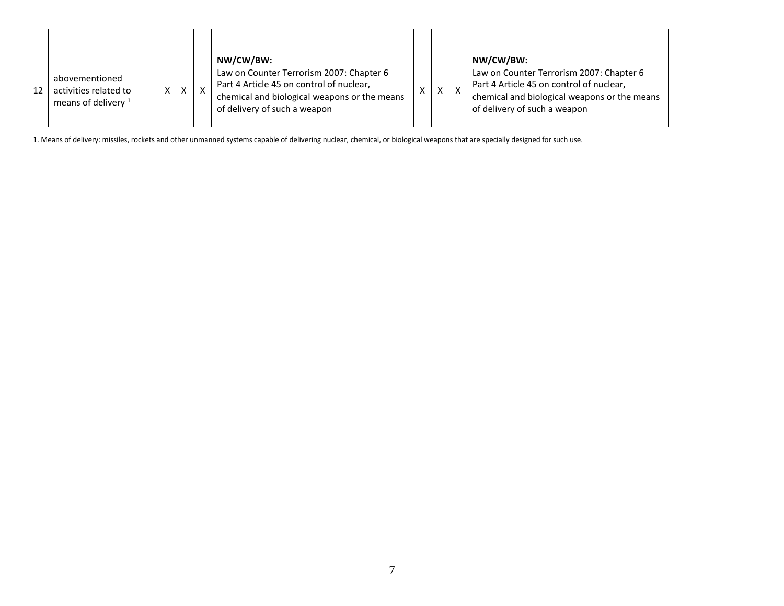| 12 | abovementioned<br>activities related to<br>means of delivery <sup>1</sup> |  | $X \mid X$ | NW/CW/BW:<br>Law on Counter Terrorism 2007: Chapter 6<br>Part 4 Article 45 on control of nuclear,<br>chemical and biological weapons or the means<br>of delivery of such a weapon | X | $\mathbf{v}$ | NW/CW/BW:<br>Law on Counter Terrorism 2007: Chapter 6<br>Part 4 Article 45 on control of nuclear,<br>chemical and biological weapons or the means<br>of delivery of such a weapon |  |
|----|---------------------------------------------------------------------------|--|------------|-----------------------------------------------------------------------------------------------------------------------------------------------------------------------------------|---|--------------|-----------------------------------------------------------------------------------------------------------------------------------------------------------------------------------|--|

1. Means of delivery: missiles, rockets and other unmanned systems capable of delivering nuclear, chemical, or biological weapons that are specially designed for such use.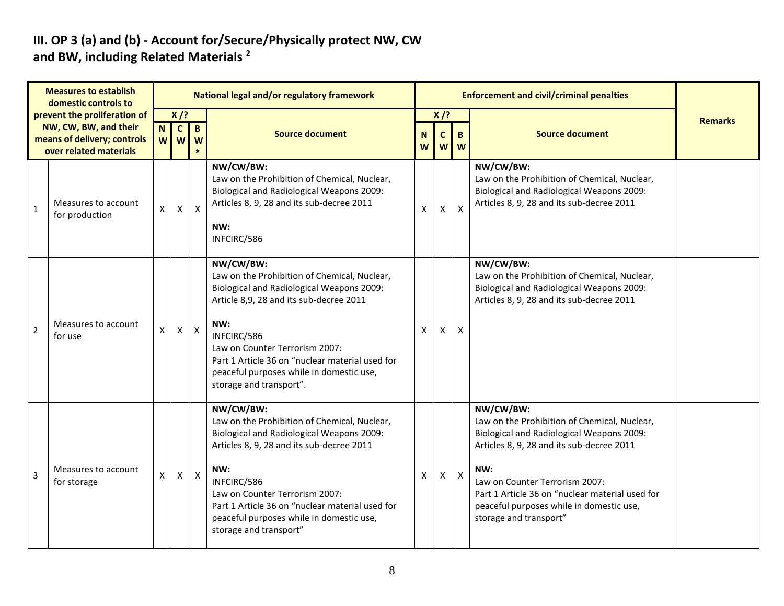#### **III. OP 3 (a) and (b) - Account for/Secure/Physically protect NW, CW and BW, including Related Materials <sup>2</sup>**

| <b>Measures to establish</b><br>domestic controls to |                                                                                                                |   |                               |                             | National legal and/or regulatory framework                                                                                                                                                                                                                                                                                           |   |                                                                      |              | <b>Enforcement and civil/criminal penalties</b>                                                                                                                                                                                                                                                                       |                |
|------------------------------------------------------|----------------------------------------------------------------------------------------------------------------|---|-------------------------------|-----------------------------|--------------------------------------------------------------------------------------------------------------------------------------------------------------------------------------------------------------------------------------------------------------------------------------------------------------------------------------|---|----------------------------------------------------------------------|--------------|-----------------------------------------------------------------------------------------------------------------------------------------------------------------------------------------------------------------------------------------------------------------------------------------------------------------------|----------------|
|                                                      | prevent the proliferation of<br>NW, CW, BW, and their<br>means of delivery; controls<br>over related materials | N | $X$ /?<br>$\mathbf{C}$<br>w w | $\mathbf{B}$<br>W<br>$\ast$ | <b>Source document</b>                                                                                                                                                                                                                                                                                                               |   | $X$ /?<br>$\mathbf{C}$<br>$\mathbf{B}$<br>$\mathbf N$<br>W<br>W<br>W |              | <b>Source document</b>                                                                                                                                                                                                                                                                                                | <b>Remarks</b> |
| $\mathbf{1}$                                         | Measures to account<br>for production                                                                          | X | X                             | X                           | NW/CW/BW:<br>Law on the Prohibition of Chemical, Nuclear,<br><b>Biological and Radiological Weapons 2009:</b><br>Articles 8, 9, 28 and its sub-decree 2011<br>NW:<br>INFCIRC/586                                                                                                                                                     | X | X                                                                    | X            | NW/CW/BW:<br>Law on the Prohibition of Chemical, Nuclear,<br>Biological and Radiological Weapons 2009:<br>Articles 8, 9, 28 and its sub-decree 2011                                                                                                                                                                   |                |
| $\overline{2}$                                       | Measures to account<br>for use                                                                                 | X | $\mathsf{X}$                  | $\pmb{\times}$              | NW/CW/BW:<br>Law on the Prohibition of Chemical, Nuclear,<br>Biological and Radiological Weapons 2009:<br>Article 8,9, 28 and its sub-decree 2011<br>NW:<br>INFCIRC/586<br>Law on Counter Terrorism 2007:<br>Part 1 Article 36 on "nuclear material used for<br>peaceful purposes while in domestic use,<br>storage and transport".  | X | $\mathsf{X}$                                                         | X            | NW/CW/BW:<br>Law on the Prohibition of Chemical, Nuclear,<br>Biological and Radiological Weapons 2009:<br>Articles 8, 9, 28 and its sub-decree 2011                                                                                                                                                                   |                |
| $\overline{3}$                                       | Measures to account<br>for storage                                                                             | X | $\pmb{\mathsf{X}}$            | $\boldsymbol{\mathsf{X}}$   | NW/CW/BW:<br>Law on the Prohibition of Chemical, Nuclear,<br>Biological and Radiological Weapons 2009:<br>Articles 8, 9, 28 and its sub-decree 2011<br>NW:<br>INFCIRC/586<br>Law on Counter Terrorism 2007:<br>Part 1 Article 36 on "nuclear material used for<br>peaceful purposes while in domestic use,<br>storage and transport" | X | $\mathsf{X}$                                                         | $\mathsf{X}$ | NW/CW/BW:<br>Law on the Prohibition of Chemical, Nuclear,<br>Biological and Radiological Weapons 2009:<br>Articles 8, 9, 28 and its sub-decree 2011<br>NW:<br>Law on Counter Terrorism 2007:<br>Part 1 Article 36 on "nuclear material used for<br>peaceful purposes while in domestic use,<br>storage and transport" |                |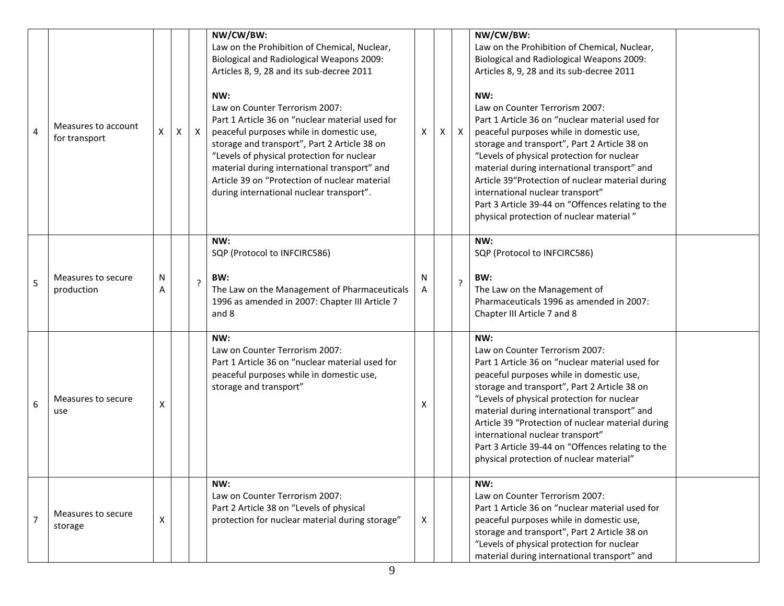| 4 | Measures to account<br>for transport | $\mathsf{X}$ | $\boldsymbol{\mathsf{X}}$ | $\mathsf{X}$ | NW/CW/BW:<br>Law on the Prohibition of Chemical, Nuclear,<br>Biological and Radiological Weapons 2009:<br>Articles 8, 9, 28 and its sub-decree 2011<br>NW:<br>Law on Counter Terrorism 2007:<br>Part 1 Article 36 on "nuclear material used for<br>peaceful purposes while in domestic use,<br>storage and transport", Part 2 Article 38 on | $\times$ | $\mathsf{X}$ | $\mathsf{X}$   | NW/CW/BW:<br>Law on the Prohibition of Chemical, Nuclear,<br>Biological and Radiological Weapons 2009:<br>Articles 8, 9, 28 and its sub-decree 2011<br>NW:<br>Law on Counter Terrorism 2007:<br>Part 1 Article 36 on "nuclear material used for<br>peaceful purposes while in domestic use,<br>storage and transport", Part 2 Article 38 on                                                                                                                                  |  |
|---|--------------------------------------|--------------|---------------------------|--------------|---------------------------------------------------------------------------------------------------------------------------------------------------------------------------------------------------------------------------------------------------------------------------------------------------------------------------------------------|----------|--------------|----------------|------------------------------------------------------------------------------------------------------------------------------------------------------------------------------------------------------------------------------------------------------------------------------------------------------------------------------------------------------------------------------------------------------------------------------------------------------------------------------|--|
|   |                                      |              |                           |              | "Levels of physical protection for nuclear<br>material during international transport" and<br>Article 39 on "Protection of nuclear material<br>during international nuclear transport".                                                                                                                                                     |          |              |                | "Levels of physical protection for nuclear<br>material during international transport" and<br>Article 39"Protection of nuclear material during<br>international nuclear transport"<br>Part 3 Article 39-44 on "Offences relating to the<br>physical protection of nuclear material"                                                                                                                                                                                          |  |
| 5 | Measures to secure<br>production     | N<br>A       |                           | 2            | NW:<br>SQP (Protocol to INFCIRC586)<br>BW:<br>The Law on the Management of Pharmaceuticals<br>1996 as amended in 2007: Chapter III Article 7<br>and 8                                                                                                                                                                                       | N<br>A   |              | $\overline{?}$ | NW:<br>SQP (Protocol to INFCIRC586)<br>BW:<br>The Law on the Management of<br>Pharmaceuticals 1996 as amended in 2007:<br>Chapter III Article 7 and 8                                                                                                                                                                                                                                                                                                                        |  |
| 6 | Measures to secure<br>use            | X            |                           |              | NW:<br>Law on Counter Terrorism 2007:<br>Part 1 Article 36 on "nuclear material used for<br>peaceful purposes while in domestic use,<br>storage and transport"                                                                                                                                                                              | X        |              |                | NW:<br>Law on Counter Terrorism 2007:<br>Part 1 Article 36 on "nuclear material used for<br>peaceful purposes while in domestic use,<br>storage and transport", Part 2 Article 38 on<br>"Levels of physical protection for nuclear<br>material during international transport" and<br>Article 39 "Protection of nuclear material during<br>international nuclear transport"<br>Part 3 Article 39-44 on "Offences relating to the<br>physical protection of nuclear material" |  |
|   | Measures to secure<br>storage        | X            |                           |              | NW:<br>Law on Counter Terrorism 2007:<br>Part 2 Article 38 on "Levels of physical<br>protection for nuclear material during storage"                                                                                                                                                                                                        | X        |              |                | NW:<br>Law on Counter Terrorism 2007:<br>Part 1 Article 36 on "nuclear material used for<br>peaceful purposes while in domestic use,<br>storage and transport", Part 2 Article 38 on<br>"Levels of physical protection for nuclear<br>material during international transport" and                                                                                                                                                                                           |  |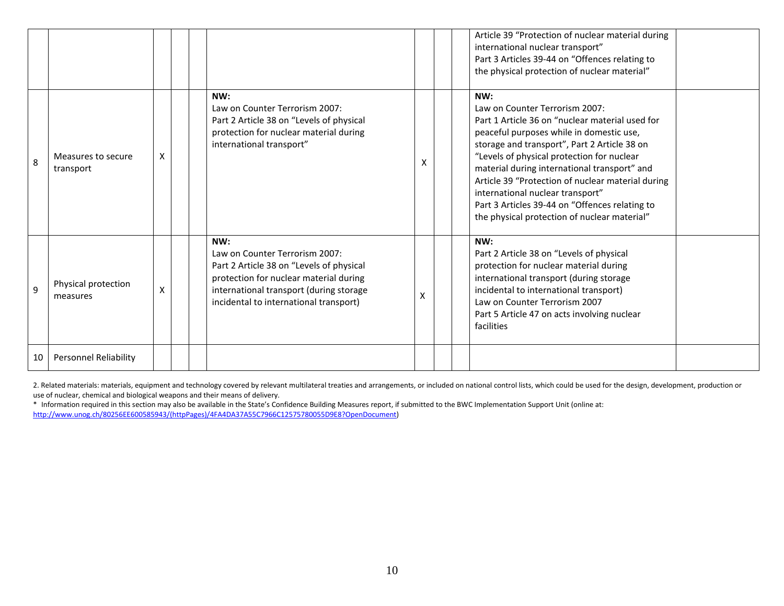|    |                                 |                           |  |                                                                                                                                                                                                                  |   | Article 39 "Protection of nuclear material during<br>international nuclear transport"<br>Part 3 Articles 39-44 on "Offences relating to<br>the physical protection of nuclear material"                                                                                                                                                                                                                                                                                       |
|----|---------------------------------|---------------------------|--|------------------------------------------------------------------------------------------------------------------------------------------------------------------------------------------------------------------|---|-------------------------------------------------------------------------------------------------------------------------------------------------------------------------------------------------------------------------------------------------------------------------------------------------------------------------------------------------------------------------------------------------------------------------------------------------------------------------------|
| 8  | Measures to secure<br>transport | X                         |  | NW:<br>Law on Counter Terrorism 2007:<br>Part 2 Article 38 on "Levels of physical<br>protection for nuclear material during<br>international transport"                                                          | X | NW:<br>Law on Counter Terrorism 2007:<br>Part 1 Article 36 on "nuclear material used for<br>peaceful purposes while in domestic use,<br>storage and transport", Part 2 Article 38 on<br>"Levels of physical protection for nuclear<br>material during international transport" and<br>Article 39 "Protection of nuclear material during<br>international nuclear transport"<br>Part 3 Articles 39-44 on "Offences relating to<br>the physical protection of nuclear material" |
| 9  | Physical protection<br>measures | $\boldsymbol{\mathsf{x}}$ |  | NW:<br>Law on Counter Terrorism 2007:<br>Part 2 Article 38 on "Levels of physical<br>protection for nuclear material during<br>international transport (during storage<br>incidental to international transport) | X | NW:<br>Part 2 Article 38 on "Levels of physical<br>protection for nuclear material during<br>international transport (during storage<br>incidental to international transport)<br>Law on Counter Terrorism 2007<br>Part 5 Article 47 on acts involving nuclear<br>facilities                                                                                                                                                                                                  |
| 10 | <b>Personnel Reliability</b>    |                           |  |                                                                                                                                                                                                                  |   |                                                                                                                                                                                                                                                                                                                                                                                                                                                                               |

2. Related materials: materials, equipment and technology covered by relevant multilateral treaties and arrangements, or included on national control lists, which could be used for the design, development, production or use of nuclear, chemical and biological weapons and their means of delivery.

\* Information required in this section may also be available in the State's Confidence Building Measures report, if submitted to the BWC Implementation Support Unit (online at:

[http://www.unog.ch/80256EE600585943/\(httpPages\)/4FA4DA37A55C7966C12575780055D9E8?OpenDocument\)](http://www.unog.ch/80256EE600585943/(httpPages)/4FA4DA37A55C7966C12575780055D9E8?OpenDocument)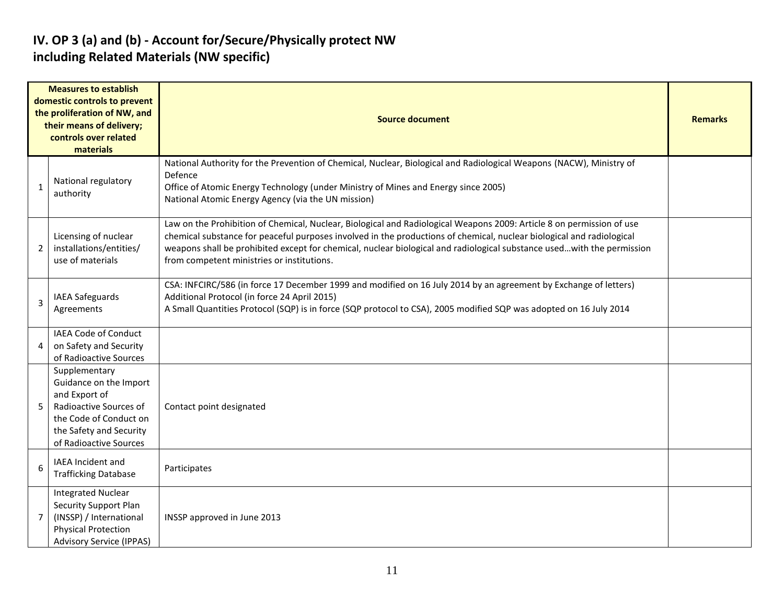#### **IV. OP 3 (a) and (b) - Account for/Secure/Physically protect NW including Related Materials (NW specific)**

|                | <b>Measures to establish</b><br>domestic controls to prevent<br>the proliferation of NW, and<br>their means of delivery;<br>controls over related<br>materials    | Source document                                                                                                                                                                                                                                                                                                                                                                                                        | <b>Remarks</b> |
|----------------|-------------------------------------------------------------------------------------------------------------------------------------------------------------------|------------------------------------------------------------------------------------------------------------------------------------------------------------------------------------------------------------------------------------------------------------------------------------------------------------------------------------------------------------------------------------------------------------------------|----------------|
| $\mathbf{1}$   | National regulatory<br>authority                                                                                                                                  | National Authority for the Prevention of Chemical, Nuclear, Biological and Radiological Weapons (NACW), Ministry of<br>Defence<br>Office of Atomic Energy Technology (under Ministry of Mines and Energy since 2005)<br>National Atomic Energy Agency (via the UN mission)                                                                                                                                             |                |
| 2              | Licensing of nuclear<br>installations/entities/<br>use of materials                                                                                               | Law on the Prohibition of Chemical, Nuclear, Biological and Radiological Weapons 2009: Article 8 on permission of use<br>chemical substance for peaceful purposes involved in the productions of chemical, nuclear biological and radiological<br>weapons shall be prohibited except for chemical, nuclear biological and radiological substance usedwith the permission<br>from competent ministries or institutions. |                |
| $\overline{3}$ | <b>IAEA Safeguards</b><br>Agreements                                                                                                                              | CSA: INFCIRC/586 (in force 17 December 1999 and modified on 16 July 2014 by an agreement by Exchange of letters)<br>Additional Protocol (in force 24 April 2015)<br>A Small Quantities Protocol (SQP) is in force (SQP protocol to CSA), 2005 modified SQP was adopted on 16 July 2014                                                                                                                                 |                |
| 4              | <b>IAEA Code of Conduct</b><br>on Safety and Security<br>of Radioactive Sources                                                                                   |                                                                                                                                                                                                                                                                                                                                                                                                                        |                |
| 5              | Supplementary<br>Guidance on the Import<br>and Export of<br>Radioactive Sources of<br>the Code of Conduct on<br>the Safety and Security<br>of Radioactive Sources | Contact point designated                                                                                                                                                                                                                                                                                                                                                                                               |                |
| 6              | IAEA Incident and<br><b>Trafficking Database</b>                                                                                                                  | Participates                                                                                                                                                                                                                                                                                                                                                                                                           |                |
| 7              | <b>Integrated Nuclear</b><br><b>Security Support Plan</b><br>(INSSP) / International<br><b>Physical Protection</b><br><b>Advisory Service (IPPAS)</b>             | INSSP approved in June 2013                                                                                                                                                                                                                                                                                                                                                                                            |                |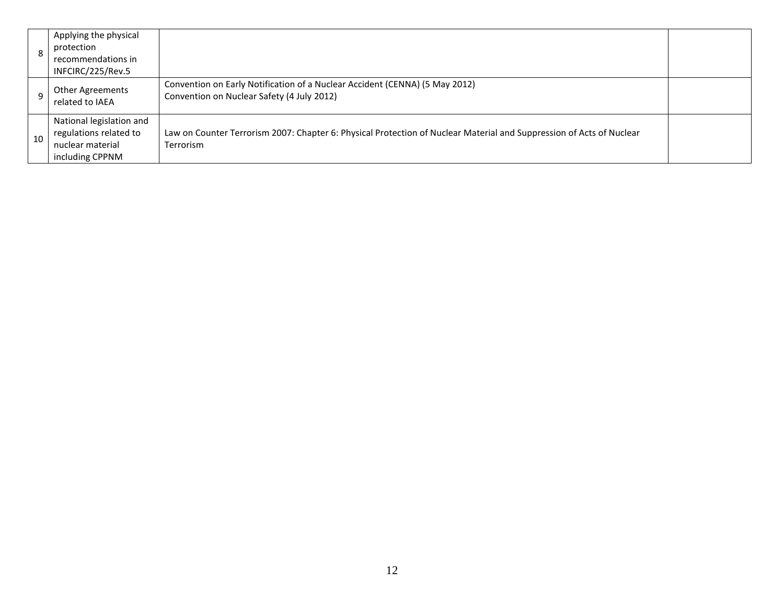|    | Applying the physical<br>protection<br>recommendations in<br>INFCIRC/225/Rev.5            |                                                                                                                                          |  |
|----|-------------------------------------------------------------------------------------------|------------------------------------------------------------------------------------------------------------------------------------------|--|
|    | Other Agreements<br>related to IAEA                                                       | Convention on Early Notification of a Nuclear Accident (CENNA) (5 May 2012)<br>Convention on Nuclear Safety (4 July 2012)                |  |
| 10 | National legislation and<br>regulations related to<br>nuclear material<br>including CPPNM | Law on Counter Terrorism 2007: Chapter 6: Physical Protection of Nuclear Material and Suppression of Acts of Nuclear<br><b>Terrorism</b> |  |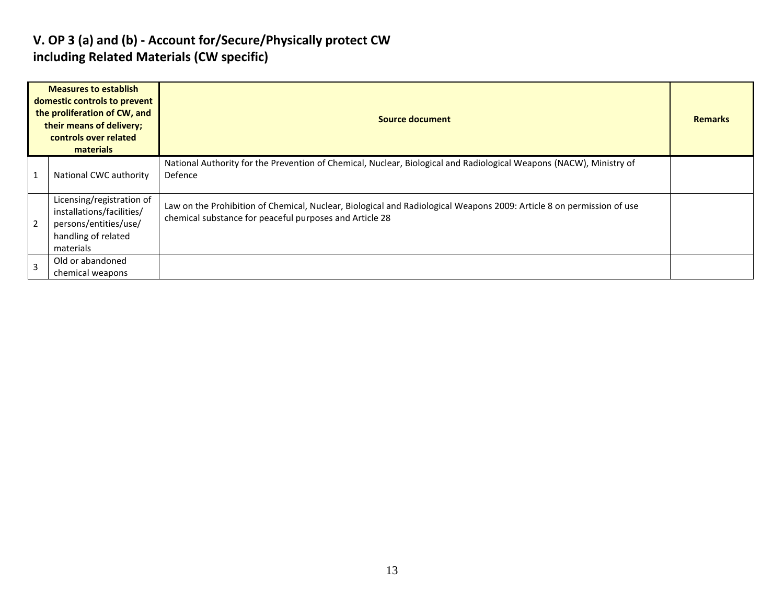#### **V. OP 3 (a) and (b) - Account for/Secure/Physically protect CW including Related Materials (CW specific)**

| <b>Measures to establish</b><br>domestic controls to prevent<br>the proliferation of CW, and<br>their means of delivery;<br>controls over related<br>materials |                                                                                                                     | <b>Source document</b>                                                                                                                                                           |  |  |  |
|----------------------------------------------------------------------------------------------------------------------------------------------------------------|---------------------------------------------------------------------------------------------------------------------|----------------------------------------------------------------------------------------------------------------------------------------------------------------------------------|--|--|--|
|                                                                                                                                                                | National CWC authority                                                                                              | National Authority for the Prevention of Chemical, Nuclear, Biological and Radiological Weapons (NACW), Ministry of<br>Defence                                                   |  |  |  |
| 2                                                                                                                                                              | Licensing/registration of<br>installations/facilities/<br>persons/entities/use/<br>handling of related<br>materials | Law on the Prohibition of Chemical, Nuclear, Biological and Radiological Weapons 2009: Article 8 on permission of use<br>chemical substance for peaceful purposes and Article 28 |  |  |  |
|                                                                                                                                                                | Old or abandoned<br>chemical weapons                                                                                |                                                                                                                                                                                  |  |  |  |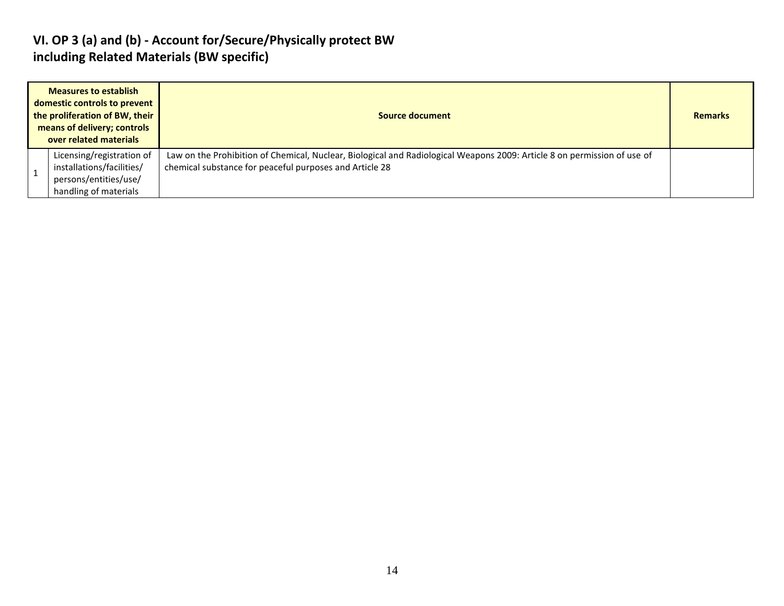#### **VI. OP 3 (a) and (b) - Account for/Secure/Physically protect BW including Related Materials (BW specific)**

| <b>Measures to establish</b><br>domestic controls to prevent<br>the proliferation of BW, their<br>means of delivery; controls<br>over related materials |                                                                                                          | Source document                                                                                                                                                                     |  |  |  |  |  |
|---------------------------------------------------------------------------------------------------------------------------------------------------------|----------------------------------------------------------------------------------------------------------|-------------------------------------------------------------------------------------------------------------------------------------------------------------------------------------|--|--|--|--|--|
|                                                                                                                                                         | Licensing/registration of<br>installations/facilities/<br>persons/entities/use/<br>handling of materials | Law on the Prohibition of Chemical, Nuclear, Biological and Radiological Weapons 2009: Article 8 on permission of use of<br>chemical substance for peaceful purposes and Article 28 |  |  |  |  |  |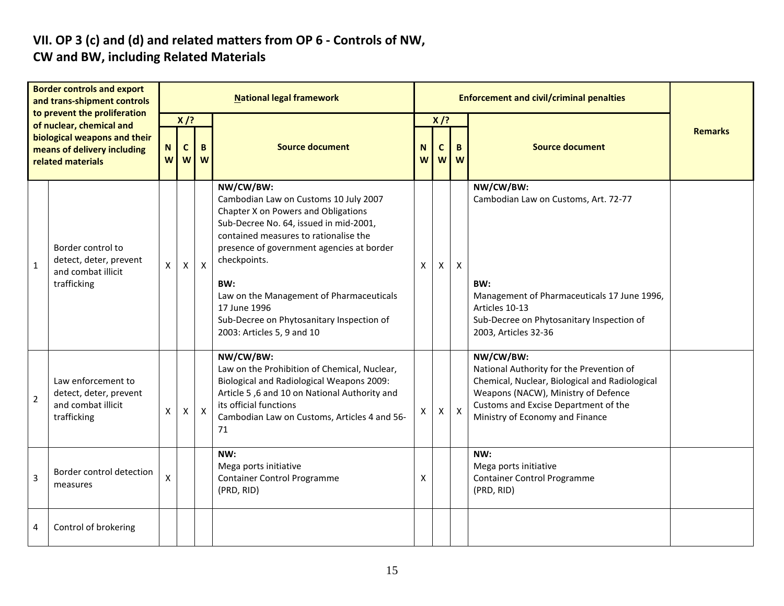#### **VII. OP 3 (c) and (d) and related matters from OP 6 - Controls of NW, CW and BW, including Related Materials**

| <b>Border controls and export</b><br>and trans-shipment controls<br>to prevent the proliferation<br>of nuclear, chemical and<br>biological weapons and their<br>means of delivery including<br>related materials |                                                                                   | <b>National legal framework</b>                       |              |                           |                                                                                                                                                                                                                                                                                                                                                                                         |        |                        | <b>Enforcement and civil/criminal penalties</b> |                                                                                                                                                                                                                           |                |
|------------------------------------------------------------------------------------------------------------------------------------------------------------------------------------------------------------------|-----------------------------------------------------------------------------------|-------------------------------------------------------|--------------|---------------------------|-----------------------------------------------------------------------------------------------------------------------------------------------------------------------------------------------------------------------------------------------------------------------------------------------------------------------------------------------------------------------------------------|--------|------------------------|-------------------------------------------------|---------------------------------------------------------------------------------------------------------------------------------------------------------------------------------------------------------------------------|----------------|
|                                                                                                                                                                                                                  |                                                                                   | $X$ /?<br>$\mathbf c$<br>B<br><b>N</b><br>W<br>W<br>W |              |                           | <b>Source document</b>                                                                                                                                                                                                                                                                                                                                                                  | N<br>W | $X$ /?<br>$\mathbf{C}$ | B<br>ww                                         | <b>Source document</b>                                                                                                                                                                                                    | <b>Remarks</b> |
| $\mathbf{1}$                                                                                                                                                                                                     | Border control to<br>detect, deter, prevent<br>and combat illicit<br>trafficking  | X                                                     | $\mathsf{x}$ | $\mathsf{x}$              | NW/CW/BW:<br>Cambodian Law on Customs 10 July 2007<br>Chapter X on Powers and Obligations<br>Sub-Decree No. 64, issued in mid-2001,<br>contained measures to rationalise the<br>presence of government agencies at border<br>checkpoints.<br>BW:<br>Law on the Management of Pharmaceuticals<br>17 June 1996<br>Sub-Decree on Phytosanitary Inspection of<br>2003: Articles 5, 9 and 10 | X      | X.                     | $\boldsymbol{X}$                                | NW/CW/BW:<br>Cambodian Law on Customs, Art. 72-77<br>BW:<br>Management of Pharmaceuticals 17 June 1996,<br>Articles 10-13<br>Sub-Decree on Phytosanitary Inspection of<br>2003, Articles 32-36                            |                |
| $\overline{2}$                                                                                                                                                                                                   | Law enforcement to<br>detect, deter, prevent<br>and combat illicit<br>trafficking | X                                                     | X            | $\boldsymbol{\mathsf{X}}$ | NW/CW/BW:<br>Law on the Prohibition of Chemical, Nuclear,<br><b>Biological and Radiological Weapons 2009:</b><br>Article 5,6 and 10 on National Authority and<br>its official functions<br>Cambodian Law on Customs, Articles 4 and 56-<br>71                                                                                                                                           | X      | X.                     | $\mathsf{X}$                                    | NW/CW/BW:<br>National Authority for the Prevention of<br>Chemical, Nuclear, Biological and Radiological<br>Weapons (NACW), Ministry of Defence<br>Customs and Excise Department of the<br>Ministry of Economy and Finance |                |
| 3                                                                                                                                                                                                                | Border control detection<br>measures                                              | X                                                     |              |                           | NW:<br>Mega ports initiative<br><b>Container Control Programme</b><br>(PRD, RID)                                                                                                                                                                                                                                                                                                        | X      |                        |                                                 | NW:<br>Mega ports initiative<br><b>Container Control Programme</b><br>(PRD, RID)                                                                                                                                          |                |
| 4                                                                                                                                                                                                                | Control of brokering                                                              |                                                       |              |                           |                                                                                                                                                                                                                                                                                                                                                                                         |        |                        |                                                 |                                                                                                                                                                                                                           |                |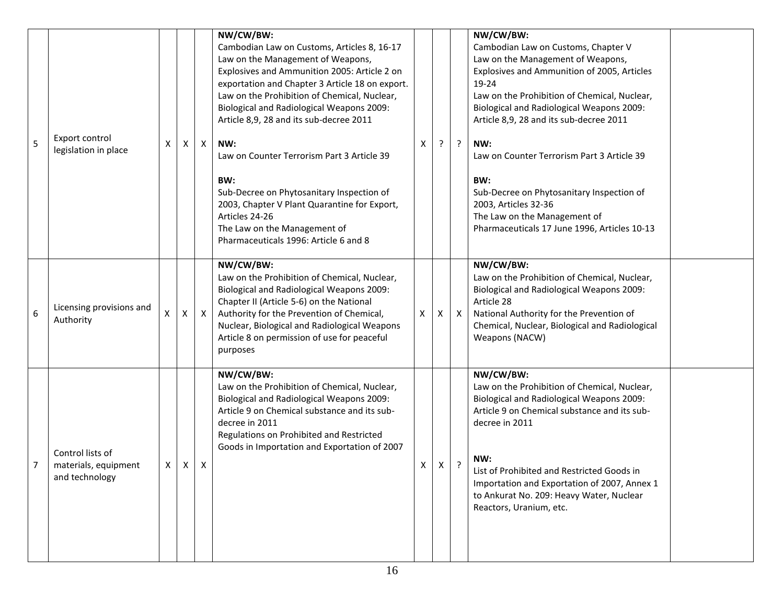| 5 | Export control<br>legislation in place                     | Χ | Χ | $\mathsf{X}$ | NW/CW/BW:<br>Cambodian Law on Customs, Articles 8, 16-17<br>Law on the Management of Weapons,<br>Explosives and Ammunition 2005: Article 2 on<br>exportation and Chapter 3 Article 18 on export.<br>Law on the Prohibition of Chemical, Nuclear,<br>Biological and Radiological Weapons 2009:<br>Article 8,9, 28 and its sub-decree 2011<br>NW:<br>Law on Counter Terrorism Part 3 Article 39<br>BW:<br>Sub-Decree on Phytosanitary Inspection of<br>2003, Chapter V Plant Quarantine for Export,<br>Articles 24-26<br>The Law on the Management of<br>Pharmaceuticals 1996: Article 6 and 8 | х | ? | $\cdot$      | NW/CW/BW:<br>Cambodian Law on Customs, Chapter V<br>Law on the Management of Weapons,<br>Explosives and Ammunition of 2005, Articles<br>19-24<br>Law on the Prohibition of Chemical, Nuclear,<br><b>Biological and Radiological Weapons 2009:</b><br>Article 8,9, 28 and its sub-decree 2011<br>NW:<br>Law on Counter Terrorism Part 3 Article 39<br>BW:<br>Sub-Decree on Phytosanitary Inspection of<br>2003, Articles 32-36<br>The Law on the Management of<br>Pharmaceuticals 17 June 1996, Articles 10-13 |  |
|---|------------------------------------------------------------|---|---|--------------|----------------------------------------------------------------------------------------------------------------------------------------------------------------------------------------------------------------------------------------------------------------------------------------------------------------------------------------------------------------------------------------------------------------------------------------------------------------------------------------------------------------------------------------------------------------------------------------------|---|---|--------------|---------------------------------------------------------------------------------------------------------------------------------------------------------------------------------------------------------------------------------------------------------------------------------------------------------------------------------------------------------------------------------------------------------------------------------------------------------------------------------------------------------------|--|
| 6 | Licensing provisions and<br>Authority                      | x | X | $\mathsf{X}$ | NW/CW/BW:<br>Law on the Prohibition of Chemical, Nuclear,<br>Biological and Radiological Weapons 2009:<br>Chapter II (Article 5-6) on the National<br>Authority for the Prevention of Chemical,<br>Nuclear, Biological and Radiological Weapons<br>Article 8 on permission of use for peaceful<br>purposes                                                                                                                                                                                                                                                                                   | X | X | $\mathsf{x}$ | NW/CW/BW:<br>Law on the Prohibition of Chemical, Nuclear,<br>Biological and Radiological Weapons 2009:<br>Article 28<br>National Authority for the Prevention of<br>Chemical, Nuclear, Biological and Radiological<br>Weapons (NACW)                                                                                                                                                                                                                                                                          |  |
| 7 | Control lists of<br>materials, equipment<br>and technology | X | X | Χ            | NW/CW/BW:<br>Law on the Prohibition of Chemical, Nuclear,<br>Biological and Radiological Weapons 2009:<br>Article 9 on Chemical substance and its sub-<br>decree in 2011<br>Regulations on Prohibited and Restricted<br>Goods in Importation and Exportation of 2007                                                                                                                                                                                                                                                                                                                         | X | X | ŗ            | NW/CW/BW:<br>Law on the Prohibition of Chemical, Nuclear,<br><b>Biological and Radiological Weapons 2009:</b><br>Article 9 on Chemical substance and its sub-<br>decree in 2011<br>NW:<br>List of Prohibited and Restricted Goods in<br>Importation and Exportation of 2007, Annex 1<br>to Ankurat No. 209: Heavy Water, Nuclear<br>Reactors, Uranium, etc.                                                                                                                                                   |  |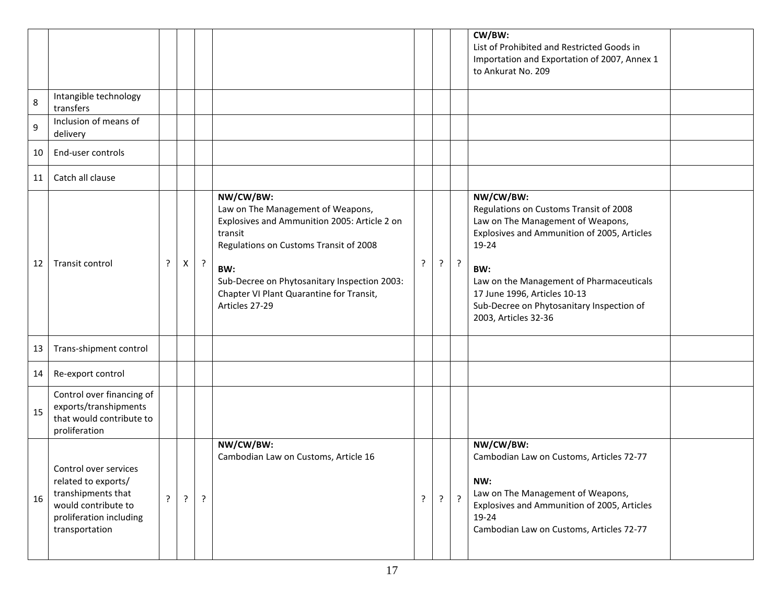|       |                                                                                                                                        |   |   |         |                                                                                                                                                                                                                                                                          |         |   |         | CW/BW:<br>List of Prohibited and Restricted Goods in<br>Importation and Exportation of 2007, Annex 1<br>to Ankurat No. 209                                                                                                                                                                               |
|-------|----------------------------------------------------------------------------------------------------------------------------------------|---|---|---------|--------------------------------------------------------------------------------------------------------------------------------------------------------------------------------------------------------------------------------------------------------------------------|---------|---|---------|----------------------------------------------------------------------------------------------------------------------------------------------------------------------------------------------------------------------------------------------------------------------------------------------------------|
| 8     | Intangible technology<br>transfers                                                                                                     |   |   |         |                                                                                                                                                                                                                                                                          |         |   |         |                                                                                                                                                                                                                                                                                                          |
| $9\,$ | Inclusion of means of<br>delivery                                                                                                      |   |   |         |                                                                                                                                                                                                                                                                          |         |   |         |                                                                                                                                                                                                                                                                                                          |
| 10    | End-user controls                                                                                                                      |   |   |         |                                                                                                                                                                                                                                                                          |         |   |         |                                                                                                                                                                                                                                                                                                          |
| 11    | Catch all clause                                                                                                                       |   |   |         |                                                                                                                                                                                                                                                                          |         |   |         |                                                                                                                                                                                                                                                                                                          |
| 12    | Transit control                                                                                                                        | ŗ | X | $\cdot$ | NW/CW/BW:<br>Law on The Management of Weapons,<br>Explosives and Ammunition 2005: Article 2 on<br>transit<br>Regulations on Customs Transit of 2008<br>BW:<br>Sub-Decree on Phytosanitary Inspection 2003:<br>Chapter VI Plant Quarantine for Transit,<br>Articles 27-29 | $\cdot$ | ? | $\cdot$ | NW/CW/BW:<br>Regulations on Customs Transit of 2008<br>Law on The Management of Weapons,<br>Explosives and Ammunition of 2005, Articles<br>19-24<br>BW:<br>Law on the Management of Pharmaceuticals<br>17 June 1996, Articles 10-13<br>Sub-Decree on Phytosanitary Inspection of<br>2003, Articles 32-36 |
| 13    | Trans-shipment control                                                                                                                 |   |   |         |                                                                                                                                                                                                                                                                          |         |   |         |                                                                                                                                                                                                                                                                                                          |
| 14    | Re-export control                                                                                                                      |   |   |         |                                                                                                                                                                                                                                                                          |         |   |         |                                                                                                                                                                                                                                                                                                          |
| 15    | Control over financing of<br>exports/transhipments<br>that would contribute to<br>proliferation                                        |   |   |         |                                                                                                                                                                                                                                                                          |         |   |         |                                                                                                                                                                                                                                                                                                          |
| 16    | Control over services<br>related to exports/<br>transhipments that<br>would contribute to<br>proliferation including<br>transportation | ? | ? | ?       | NW/CW/BW:<br>Cambodian Law on Customs, Article 16                                                                                                                                                                                                                        | $\cdot$ |   | $\cdot$ | NW/CW/BW:<br>Cambodian Law on Customs, Articles 72-77<br>NW:<br>Law on The Management of Weapons,<br>Explosives and Ammunition of 2005, Articles<br>19-24<br>Cambodian Law on Customs, Articles 72-77                                                                                                    |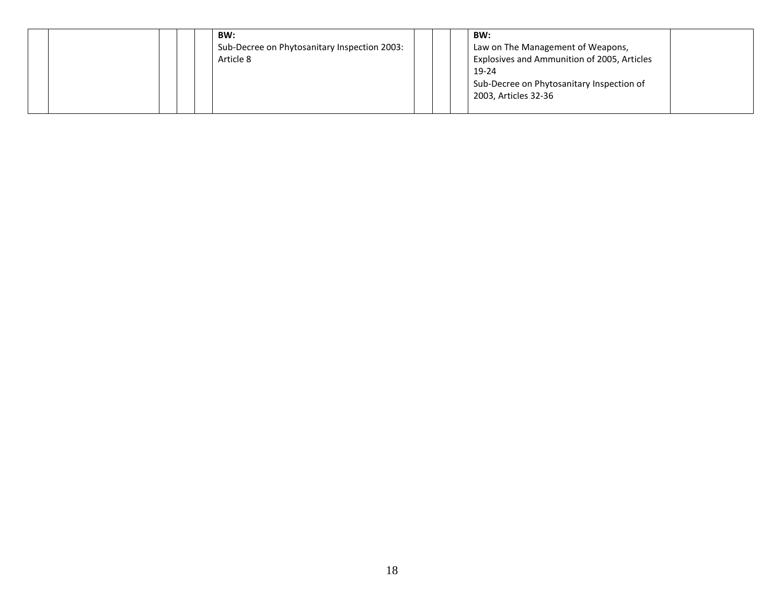|  | BW:<br>Sub-Decree on Phytosanitary Inspection 2003:<br>Article 8 |  | BW:<br>Law on The Management of Weapons,<br>Explosives and Ammunition of 2005, Articles<br>19-24<br>Sub-Decree on Phytosanitary Inspection of<br>2003, Articles 32-36 |  |
|--|------------------------------------------------------------------|--|-----------------------------------------------------------------------------------------------------------------------------------------------------------------------|--|
|  |                                                                  |  |                                                                                                                                                                       |  |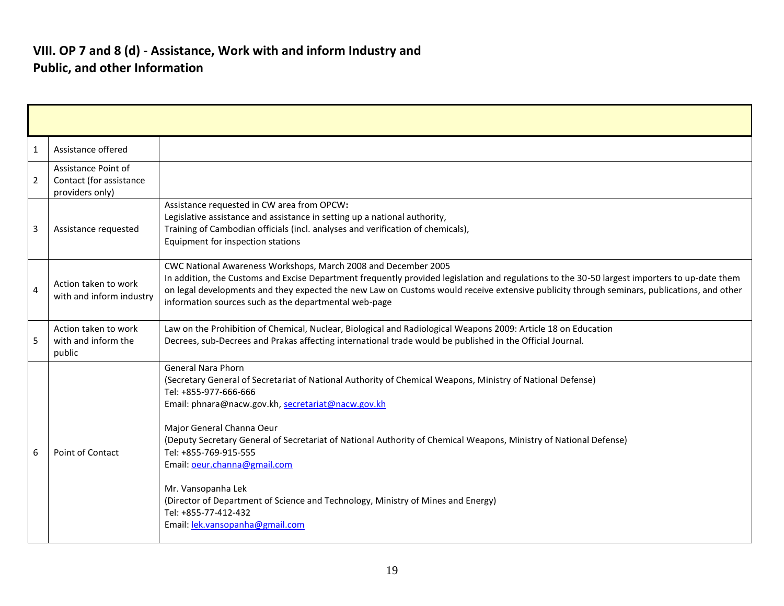| 1                       | Assistance offered                                                |                                                                                                                                                                                                                                                                                                                                                                                                                                                                                                                                                                                                        |
|-------------------------|-------------------------------------------------------------------|--------------------------------------------------------------------------------------------------------------------------------------------------------------------------------------------------------------------------------------------------------------------------------------------------------------------------------------------------------------------------------------------------------------------------------------------------------------------------------------------------------------------------------------------------------------------------------------------------------|
| $\overline{2}$          | Assistance Point of<br>Contact (for assistance<br>providers only) |                                                                                                                                                                                                                                                                                                                                                                                                                                                                                                                                                                                                        |
| 3                       | Assistance requested                                              | Assistance requested in CW area from OPCW:<br>Legislative assistance and assistance in setting up a national authority,<br>Training of Cambodian officials (incl. analyses and verification of chemicals),<br>Equipment for inspection stations                                                                                                                                                                                                                                                                                                                                                        |
| $\overline{\mathbf{A}}$ | Action taken to work<br>with and inform industry                  | CWC National Awareness Workshops, March 2008 and December 2005<br>In addition, the Customs and Excise Department frequently provided legislation and regulations to the 30-50 largest importers to up-date them<br>on legal developments and they expected the new Law on Customs would receive extensive publicity through seminars, publications, and other<br>information sources such as the departmental web-page                                                                                                                                                                                 |
| 5                       | Action taken to work<br>with and inform the<br>public             | Law on the Prohibition of Chemical, Nuclear, Biological and Radiological Weapons 2009: Article 18 on Education<br>Decrees, sub-Decrees and Prakas affecting international trade would be published in the Official Journal.                                                                                                                                                                                                                                                                                                                                                                            |
| 6                       | Point of Contact                                                  | <b>General Nara Phorn</b><br>(Secretary General of Secretariat of National Authority of Chemical Weapons, Ministry of National Defense)<br>Tel: +855-977-666-666<br>Email: phnara@nacw.gov.kh, secretariat@nacw.gov.kh<br>Major General Channa Oeur<br>(Deputy Secretary General of Secretariat of National Authority of Chemical Weapons, Ministry of National Defense)<br>Tel: +855-769-915-555<br>Email: oeur.channa@gmail.com<br>Mr. Vansopanha Lek<br>(Director of Department of Science and Technology, Ministry of Mines and Energy)<br>Tel: +855-77-412-432<br>Email: lek.vansopanha@gmail.com |